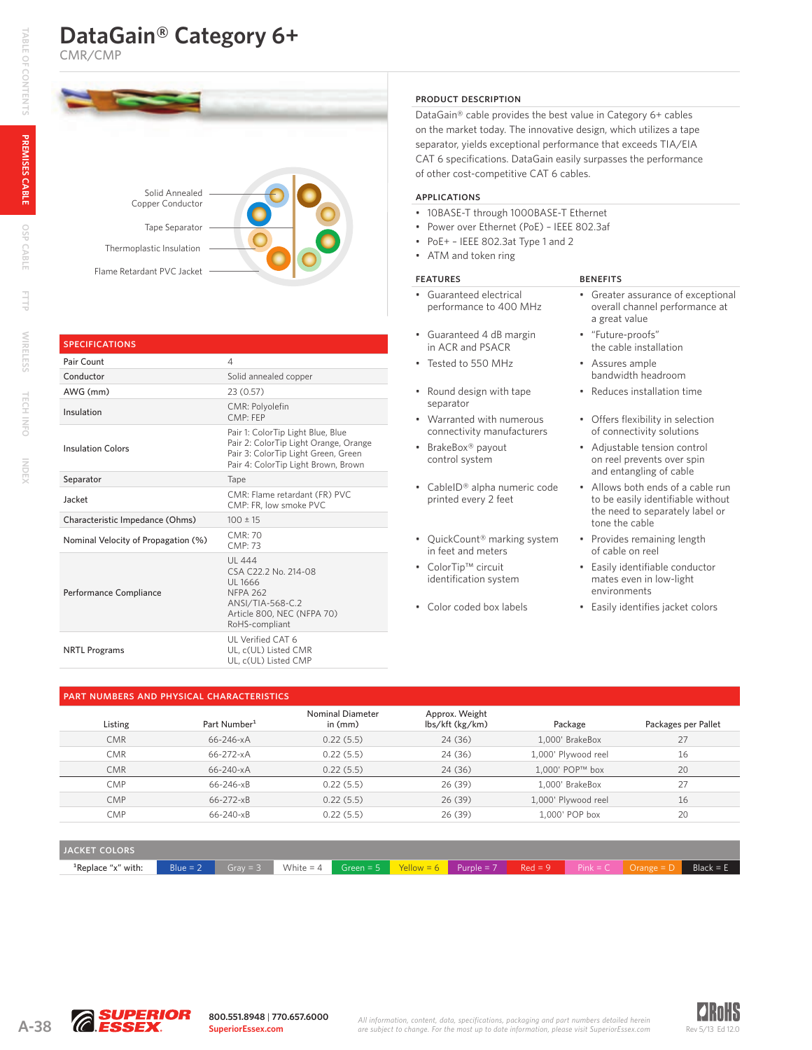CMR/CMP



| <b>SPECIFICATIONS</b>               |                                                                                                                                                          |
|-------------------------------------|----------------------------------------------------------------------------------------------------------------------------------------------------------|
| Pair Count                          | $\overline{4}$                                                                                                                                           |
| Conductor                           | Solid annealed copper                                                                                                                                    |
| AWG (mm)                            | 23 (0.57)                                                                                                                                                |
| Insulation                          | CMR: Polyolefin<br>$CMP$ · FFP                                                                                                                           |
| <b>Insulation Colors</b>            | Pair 1: ColorTip Light Blue, Blue<br>Pair 2: ColorTip Light Orange, Orange<br>Pair 3: ColorTip Light Green, Green<br>Pair 4: ColorTip Light Brown, Brown |
| Separator                           | Tape                                                                                                                                                     |
| Jacket                              | CMR: Flame retardant (FR) PVC<br>CMP: FR, low smoke PVC                                                                                                  |
| Characteristic Impedance (Ohms)     | $100 \pm 15$                                                                                                                                             |
| Nominal Velocity of Propagation (%) | CMR: 70<br>CMP: 73                                                                                                                                       |
| Performance Compliance              | <b>UL 444</b><br>CSA C22.2 No. 214-08<br><b>UL1666</b><br><b>NFPA 262</b><br>ANSI/TIA-568-C.2<br>Article 800, NEC (NFPA 70)<br>RoHS-compliant            |
| <b>NRTL Programs</b>                | UL Verified CAT 6<br>UL, c(UL) Listed CMR<br>UL, c(UL) Listed CMP                                                                                        |

## Product Description

DataGain® cable provides the best value in Category 6+ cables on the market today. The innovative design, which utilizes a tape separator, yields exceptional performance that exceeds TIA/EIA CAT 6 specifications. DataGain easily surpasses the performance of other cost-competitive CAT 6 cables.

## Applications

- 10BASE-T through 1000BASE-T Ethernet
- Power over Ethernet (PoE) IEEE 802.3af • PoE+ – IEEE 802.3at Type 1 and 2
- ATM and token ring
- 

• Guaranteed electrical performance to 400 MHz

• Guaranteed 4 dB margin in ACR and PSACR

• Round design with tape

• BrakeBox® payout control system

• ColorTip™ circuit identification system

• Warranted with numerous connectivity manufacturers

• CableID® alpha numeric code printed every 2 feet

• QuickCount® marking system in feet and meters

separator

## FEATURES BENEFITS

- 
- Greater assurance of exceptional overall channel performance at a great value
- "Future-proofs" the cable installation
- Tested to 550 MHz Assures ample bandwidth headroom
	- Reduces installation time
	- Offers flexibility in selection of connectivity solutions
	- Adjustable tension control on reel prevents over spin and entangling of cable
	- Allows both ends of a cable run to be easily identifiable without the need to separately label or tone the cable
	- Provides remaining length of cable on reel
	- Easily identifiable conductor mates even in low-light environments
- Color coded box labels Easily identifies jacket colors

## PART NUMBERS AND PHYSICAL CHARACTERISTICS

|            |                          | Nominal Diameter | Approx. Weight  |                               |                     |
|------------|--------------------------|------------------|-----------------|-------------------------------|---------------------|
| Listing    | Part Number <sup>1</sup> | in $(mm)$        | lbs/kft (kg/km) | Package                       | Packages per Pallet |
| <b>CMR</b> | $66 - 246 - xA$          | 0.22(5.5)        | 24 (36)         | 1.000' BrakeBox               | 27                  |
| <b>CMR</b> | $66 - 272 - xA$          | 0.22(5.5)        | 24 (36)         | 1,000' Plywood reel           | 16                  |
| <b>CMR</b> | $66 - 240 - xA$          | 0.22(5.5)        | 24 (36)         | $1.000'$ POP <sup>™</sup> box | 20                  |
| <b>CMP</b> | 66-246-xB                | 0.22(5.5)        | 26 (39)         | 1.000' BrakeBox               | 27                  |
| <b>CMP</b> | $66 - 272 - xB$          | 0.22(5.5)        | 26(39)          | 1,000' Plywood reel           | 16                  |
| <b>CMP</b> | $66 - 240 - xB$          | 0.22(5.5)        | 26 (39)         | 1.000' POP box                | 20                  |
|            |                          |                  |                 |                               |                     |

| <b>JACKET COLORS</b>            |  |  |  |  |                                                                                                   |  |
|---------------------------------|--|--|--|--|---------------------------------------------------------------------------------------------------|--|
| $\sqrt[1]{2}$ Replace "x" with: |  |  |  |  | Blue = 2 Grav = 3 White = 4 Green = 5 Yellow = 6 Purple = 7 Red = 9 Pink = C Orange = D Black = E |  |



**A-38**



**Premises C PREMISES CABLE**